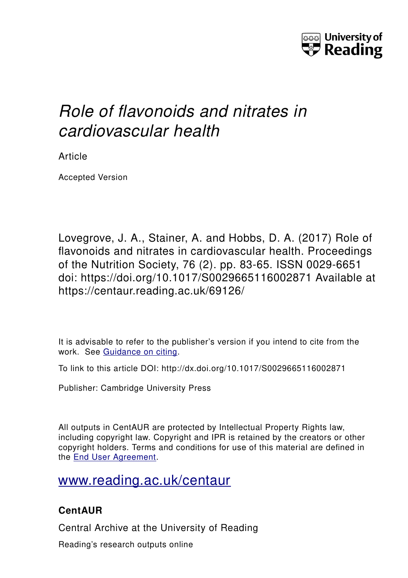

# *Role of flavonoids and nitrates in cardiovascular health*

Article

Accepted Version

Lovegrove, J. A., Stainer, A. and Hobbs, D. A. (2017) Role of flavonoids and nitrates in cardiovascular health. Proceedings of the Nutrition Society, 76 (2). pp. 83-65. ISSN 0029-6651 doi: https://doi.org/10.1017/S0029665116002871 Available at https://centaur.reading.ac.uk/69126/

It is advisable to refer to the publisher's version if you intend to cite from the work. See [Guidance on citing.](http://centaur.reading.ac.uk/71187/10/CentAUR%20citing%20guide.pdf)

To link to this article DOI: http://dx.doi.org/10.1017/S0029665116002871

Publisher: Cambridge University Press

All outputs in CentAUR are protected by Intellectual Property Rights law, including copyright law. Copyright and IPR is retained by the creators or other copyright holders. Terms and conditions for use of this material are defined in the [End User Agreement.](http://centaur.reading.ac.uk/licence)

[www.reading.ac.uk/centaur](http://www.reading.ac.uk/centaur)

# **CentAUR**

Central Archive at the University of Reading

Reading's research outputs online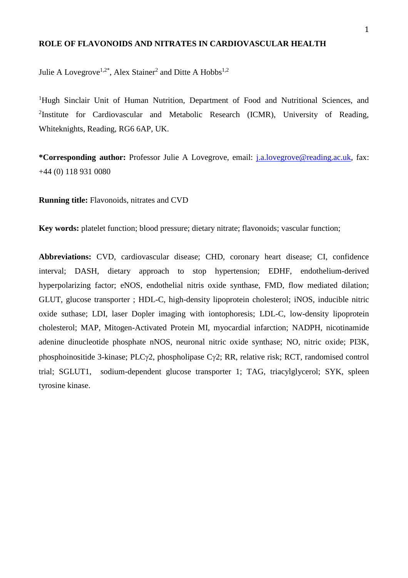#### **ROLE OF FLAVONOIDS AND NITRATES IN CARDIOVASCULAR HEALTH**

Julie A Lovegrove<sup>1,2\*</sup>, Alex Stainer<sup>2</sup> and Ditte A Hobbs<sup>1,2</sup>

<sup>1</sup>Hugh Sinclair Unit of Human Nutrition, Department of Food and Nutritional Sciences, and <sup>2</sup>Institute for Cardiovascular and Metabolic Research (ICMR), University of Reading, Whiteknights, Reading, RG6 6AP, UK.

**\*Corresponding author:** Professor Julie A Lovegrove, email: [j.a.lovegrove@reading.ac.uk,](mailto:j.a.lovegrove@reading.ac.uk) fax: +44 (0) 118 931 0080

**Running title:** Flavonoids, nitrates and CVD

**Key words:** platelet function; blood pressure; dietary nitrate; flavonoids; vascular function;

**Abbreviations:** CVD, cardiovascular disease; CHD, coronary heart disease; CI, confidence interval; DASH, dietary approach to stop hypertension; EDHF, endothelium-derived hyperpolarizing factor; eNOS, endothelial nitris oxide synthase, FMD, flow mediated dilation; GLUT, glucose transporter ; HDL-C, high-density lipoprotein cholesterol; iNOS, inducible nitric oxide suthase; LDI, laser Dopler imaging with iontophoresis; LDL-C, low-density lipoprotein cholesterol; MAP, Mitogen-Activated Protein MI, myocardial infarction; NADPH, nicotinamide adenine dinucleotide phosphate nNOS, neuronal nitric oxide synthase; NO, nitric oxide; PI3K, phosphoinositide 3-kinase; PLC $\gamma$ 2, phospholipase C $\gamma$ 2; RR, relative risk; RCT, randomised control trial; SGLUT1, sodium-dependent glucose transporter 1; TAG, triacylglycerol; SYK, spleen tyrosine kinase.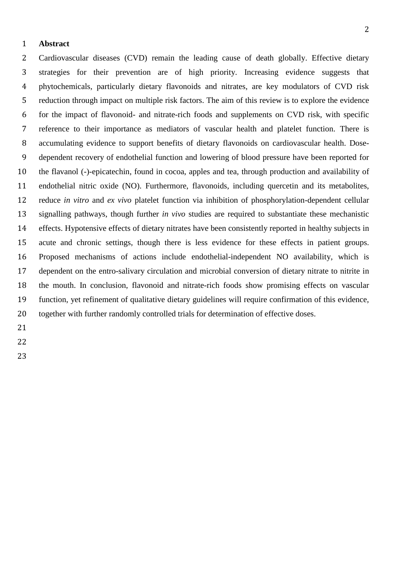#### **Abstract**

 Cardiovascular diseases (CVD) remain the leading cause of death globally. Effective dietary strategies for their prevention are of high priority. Increasing evidence suggests that phytochemicals, particularly dietary flavonoids and nitrates, are key modulators of CVD risk reduction through impact on multiple risk factors. The aim of this review is to explore the evidence for the impact of flavonoid- and nitrate-rich foods and supplements on CVD risk, with specific reference to their importance as mediators of vascular health and platelet function. There is accumulating evidence to support benefits of dietary flavonoids on cardiovascular health. Dose- dependent recovery of endothelial function and lowering of blood pressure have been reported for the flavanol (-)-epicatechin, found in cocoa, apples and tea, through production and availability of endothelial nitric oxide (NO). Furthermore, flavonoids, including quercetin and its metabolites, reduce *in vitro* and *ex vivo* platelet function via inhibition of phosphorylation-dependent cellular signalling pathways, though further *in vivo* studies are required to substantiate these mechanistic effects. Hypotensive effects of dietary nitrates have been consistently reported in healthy subjects in acute and chronic settings, though there is less evidence for these effects in patient groups. Proposed mechanisms of actions include endothelial-independent NO availability, which is dependent on the entro-salivary circulation and microbial conversion of dietary nitrate to nitrite in the mouth. In conclusion, flavonoid and nitrate-rich foods show promising effects on vascular function, yet refinement of qualitative dietary guidelines will require confirmation of this evidence, together with further randomly controlled trials for determination of effective doses.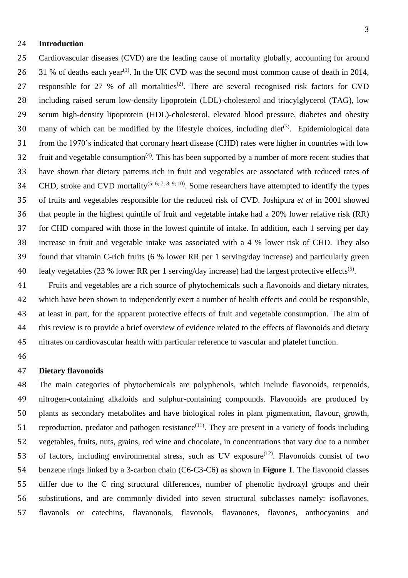## **Introduction**

 Cardiovascular diseases (CVD) are the leading cause of mortality globally, accounting for around  $\,$  31 % of deaths each year<sup>(1)</sup>. In the UK CVD was the second most common cause of death in 2014, 27 responsible for 27 % of all mortalities<sup>(2)</sup>. There are several recognised risk factors for CVD including raised serum low-density lipoprotein (LDL)-cholesterol and triacylglycerol (TAG), low serum high-density lipoprotein (HDL)-cholesterol, elevated blood pressure, diabetes and obesity 30 many of which can be modified by the lifestyle choices, including diet<sup>(3)</sup>. Epidemiological data from the 1970's indicated that coronary heart disease (CHD) rates were higher in countries with low  $\delta$  32 fruit and vegetable consumption<sup>(4)</sup>. This has been supported by a number of more recent studies that have shown that dietary patterns rich in fruit and vegetables are associated with reduced rates of 34 CHD, stroke and CVD mortality<sup>(5; 6; 7; 8; 9; 10)</sup>. Some researchers have attempted to identify the types of fruits and vegetables responsible for the reduced risk of CVD. Joshipura *et al* in 2001 showed that people in the highest quintile of fruit and vegetable intake had a 20% lower relative risk (RR) for CHD compared with those in the lowest quintile of intake. In addition, each 1 serving per day increase in fruit and vegetable intake was associated with a 4 % lower risk of CHD. They also found that vitamin C-rich fruits (6 % lower RR per 1 serving/day increase) and particularly green 40 leafy vegetables (23 % lower RR per 1 serving/day increase) had the largest protective effects<sup>(5)</sup>.

 Fruits and vegetables are a rich source of phytochemicals such a flavonoids and dietary nitrates, which have been shown to independently exert a number of health effects and could be responsible, at least in part, for the apparent protective effects of fruit and vegetable consumption. The aim of this review is to provide a brief overview of evidence related to the effects of flavonoids and dietary nitrates on cardiovascular health with particular reference to vascular and platelet function.

#### **Dietary flavonoids**

 The main categories of phytochemicals are polyphenols, which include flavonoids, terpenoids, nitrogen-containing alkaloids and sulphur-containing compounds. Flavonoids are produced by plants as secondary metabolites and have biological roles in plant pigmentation, flavour, growth, 51 reproduction, predator and pathogen resistance<sup>(11)</sup>. They are present in a variety of foods including vegetables, fruits, nuts, grains, red wine and chocolate, in concentrations that vary due to a number 53 of factors, including environmental stress, such as UV exposure<sup> $(12)$ </sup>. Flavonoids consist of two benzene rings linked by a 3-carbon chain (C6-C3-C6) as shown in **Figure 1**. The flavonoid classes differ due to the C ring structural differences, number of phenolic hydroxyl groups and their substitutions, and are commonly divided into seven structural subclasses namely: isoflavones, flavanols or catechins, flavanonols, flavonols, flavanones, flavones, anthocyanins and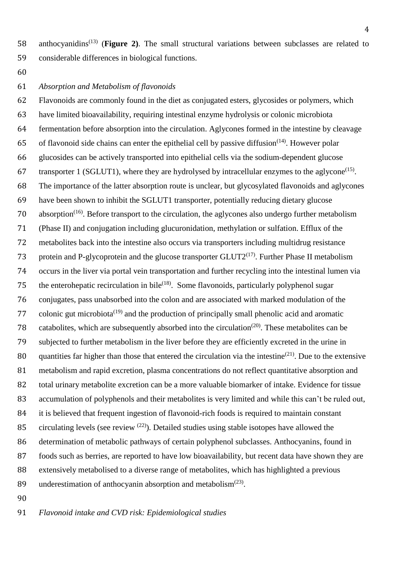anthocyanidins(13) (**Figure 2)**. The small structural variations between subclasses are related to considerable differences in biological functions.

# *Absorption and Metabolism of flavonoids*

 Flavonoids are commonly found in the diet as conjugated esters, glycosides or polymers, which have limited bioavailability, requiring intestinal enzyme hydrolysis or colonic microbiota fermentation before absorption into the circulation. Aglycones formed in the intestine by cleavage 65 of flavonoid side chains can enter the epithelial cell by passive diffusion<sup> $(14)$ </sup>. However polar glucosides can be actively transported into epithelial cells via the sodium-dependent glucose 67 transporter 1 (SGLUT1), where they are hydrolysed by intracellular enzymes to the aglycone<sup>(15)</sup>. The importance of the latter absorption route is unclear, but glycosylated flavonoids and aglycones have been shown to inhibit the SGLUT1 transporter, potentially reducing dietary glucose 70 absorption<sup>(16)</sup>. Before transport to the circulation, the aglycones also undergo further metabolism (Phase II) and conjugation including glucuronidation, methylation or sulfation. Efflux of the metabolites back into the intestine also occurs via transporters including multidrug resistance 73 protein and P-glycoprotein and the glucose transporter  $GLUT2^{(17)}$ . Further Phase II metabolism occurs in the liver via portal vein transportation and further recycling into the intestinal lumen via 75 the enterohepatic recirculation in bile<sup> $(18)$ </sup>. Some flavonoids, particularly polyphenol sugar conjugates, pass unabsorbed into the colon and are associated with marked modulation of the 77 colonic gut microbiota<sup> $(19)$ </sup> and the production of principally small phenolic acid and aromatic 78 catabolites, which are subsequently absorbed into the circulation<sup>(20)</sup>. These metabolites can be subjected to further metabolism in the liver before they are efficiently excreted in the urine in 80 quantities far higher than those that entered the circulation via the intestine<sup>(21)</sup>. Due to the extensive metabolism and rapid excretion, plasma concentrations do not reflect quantitative absorption and total urinary metabolite excretion can be a more valuable biomarker of intake. Evidence for tissue accumulation of polyphenols and their metabolites is very limited and while this can't be ruled out, it is believed that frequent ingestion of flavonoid-rich foods is required to maintain constant 85 circulating levels (see review  $(22)$ ). Detailed studies using stable isotopes have allowed the determination of metabolic pathways of certain polyphenol subclasses. Anthocyanins, found in foods such as berries, are reported to have low bioavailability, but recent data have shown they are extensively metabolised to a diverse range of metabolites, which has highlighted a previous 89 underestimation of anthocyanin absorption and metabolism $(23)$ .

*Flavonoid intake and CVD risk: Epidemiological studies*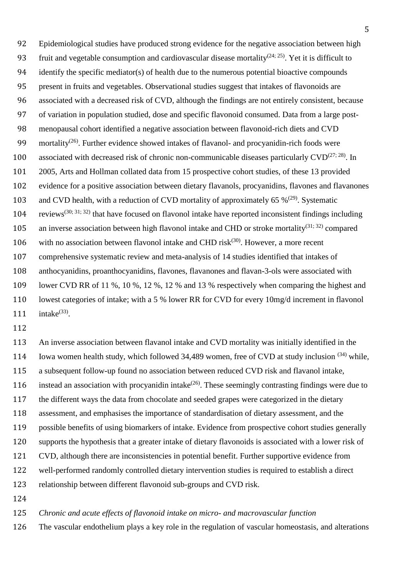Epidemiological studies have produced strong evidence for the negative association between high 93 fruit and vegetable consumption and cardiovascular disease mortality<sup>(24; 25)</sup>. Yet it is difficult to identify the specific mediator(s) of health due to the numerous potential bioactive compounds present in fruits and vegetables. Observational studies suggest that intakes of flavonoids are associated with a decreased risk of CVD, although the findings are not entirely consistent, because of variation in population studied, dose and specific flavonoid consumed. Data from a large post- menopausal cohort identified a negative association between flavonoid-rich diets and CVD 99 mortality<sup>(26)</sup>. Further evidence showed intakes of flavanol- and procyanidin-rich foods were 100 associated with decreased risk of chronic non-communicable diseases particularly  $CVD^{(27, 28)}$ . In 2005, Arts and Hollman collated data from 15 prospective cohort studies, of these 13 provided evidence for a positive association between dietary flavanols, procyanidins, flavones and flavanones 103 and CVD health, with a reduction of CVD mortality of approximately 65  $\%$ <sup>(29)</sup>. Systematic 104 reviews<sup>(30; 31; 32)</sup> that have focused on flavonol intake have reported inconsistent findings including 105 an inverse association between high flavonol intake and CHD or stroke mortality<sup>(31; 32)</sup> compared 106 with no association between flavonol intake and CHD risk $(30)$ . However, a more recent comprehensive systematic review and meta-analysis of 14 studies identified that intakes of anthocyanidins, proanthocyanidins, flavones, flavanones and flavan-3-ols were associated with lower CVD RR of 11 %, 10 %, 12 %, 12 % and 13 % respectively when comparing the highest and lowest categories of intake; with a 5 % lower RR for CVD for every 10mg/d increment in flavonol  $intake<sup>(33)</sup>$ .

 An inverse association between flavanol intake and CVD mortality was initially identified in the 114 Iowa women health study, which followed 34,489 women, free of CVD at study inclusion  $(34)$  while, a subsequent follow-up found no association between reduced CVD risk and flavanol intake, 116 instead an association with procyanidin intake<sup> $(26)$ </sup>. These seemingly contrasting findings were due to the different ways the data from chocolate and seeded grapes were categorized in the dietary assessment, and emphasises the importance of standardisation of dietary assessment, and the possible benefits of using biomarkers of intake. Evidence from prospective cohort studies generally supports the hypothesis that a greater intake of dietary flavonoids is associated with a lower risk of CVD, although there are inconsistencies in potential benefit. Further supportive evidence from well-performed randomly controlled dietary intervention studies is required to establish a direct relationship between different flavonoid sub-groups and CVD risk.

*Chronic and acute effects of flavonoid intake on micro- and macrovascular function*

The vascular endothelium plays a key role in the regulation of vascular homeostasis, and alterations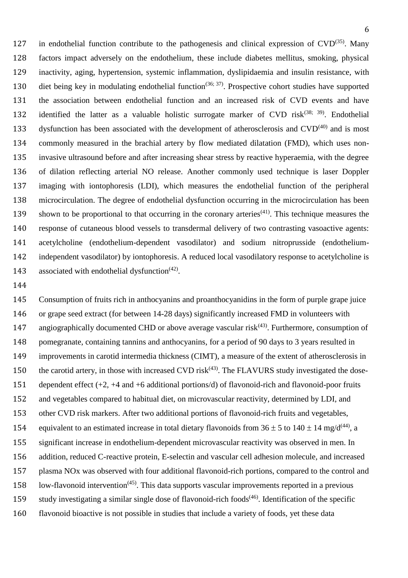127 in endothelial function contribute to the pathogenesis and clinical expression of  $CVD^{(35)}$ . Many factors impact adversely on the endothelium, these include diabetes mellitus, smoking, physical inactivity, aging, hypertension, systemic inflammation, dyslipidaemia and insulin resistance, with 130 diet being key in modulating endothelial function<sup>(36; 37)</sup>. Prospective cohort studies have supported the association between endothelial function and an increased risk of CVD events and have 132 identified the latter as a valuable holistic surrogate marker of CVD risk<sup> $(38; 39)$ </sup>. Endothelial 133 dysfunction has been associated with the development of atherosclerosis and  $CVD^{(40)}$  and is most commonly measured in the brachial artery by flow mediated dilatation (FMD), which uses non- invasive ultrasound before and after increasing shear stress by reactive hyperaemia, with the degree of dilation reflecting arterial NO release. Another commonly used technique is laser Doppler imaging with iontophoresis (LDI), which measures the endothelial function of the peripheral microcirculation. The degree of endothelial dysfunction occurring in the microcirculation has been 139 shown to be proportional to that occurring in the coronary arteries<sup> $(41)$ </sup>. This technique measures the response of cutaneous blood vessels to transdermal delivery of two contrasting vasoactive agents: acetylcholine (endothelium-dependent vasodilator) and sodium nitroprusside (endothelium- independent vasodilator) by iontophoresis. A reduced local vasodilatory response to acetylcholine is 143 associated with endothelial dysfunction<sup> $(42)$ </sup>.

 Consumption of fruits rich in anthocyanins and proanthocyanidins in the form of purple grape juice or grape seed extract (for between 14-28 days) significantly increased FMD in volunteers with 147 angiographically documented CHD or above average vascular risk<sup> $(43)$ </sup>. Furthermore, consumption of pomegranate, containing tannins and anthocyanins, for a period of 90 days to 3 years resulted in improvements in carotid intermedia thickness (CIMT), a measure of the extent of atherosclerosis in 150 the carotid artery, in those with increased CVD risk $(43)$ . The FLAVURS study investigated the dose- dependent effect (+2, +4 and +6 additional portions/d) of flavonoid-rich and flavonoid-poor fruits and vegetables compared to habitual diet, on microvascular reactivity, determined by LDI, and other CVD risk markers. After two additional portions of flavonoid-rich fruits and vegetables, 154 equivalent to an estimated increase in total dietary flavonoids from  $36 \pm 5$  to  $140 \pm 14$  mg/d<sup>(44)</sup>, a significant increase in endothelium-dependent microvascular reactivity was observed in men. In addition, reduced C-reactive protein, E-selectin and vascular cell adhesion molecule, and increased plasma NOx was observed with four additional flavonoid-rich portions, compared to the control and 158 low-flavonoid intervention<sup> $(45)$ </sup>. This data supports vascular improvements reported in a previous 159 study investigating a similar single dose of flavonoid-rich foods $(46)$ . Identification of the specific flavonoid bioactive is not possible in studies that include a variety of foods, yet these data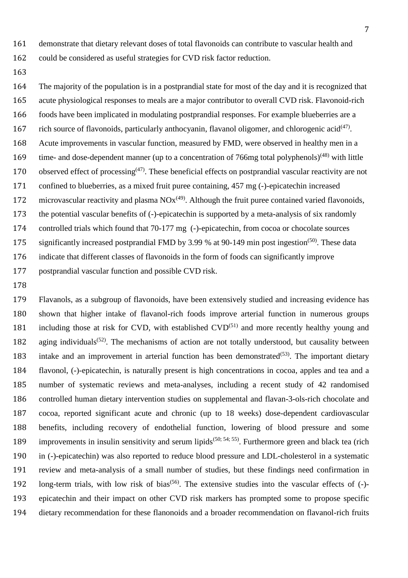could be considered as useful strategies for CVD risk factor reduction.

 The majority of the population is in a postprandial state for most of the day and it is recognized that acute physiological responses to meals are a major contributor to overall CVD risk. Flavonoid-rich foods have been implicated in modulating postprandial responses. For example blueberries are a 167 rich source of flavonoids, particularly anthocyanin, flavanol oligomer, and chlorogenic acid $(47)$ . Acute improvements in vascular function, measured by FMD, were observed in healthy men in a 169 time- and dose-dependent manner (up to a concentration of 766mg total polyphenols)<sup> $(48)$ </sup> with little 170 observed effect of processing<sup> $(47)$ </sup>. These beneficial effects on postprandial vascular reactivity are not confined to blueberries, as a mixed fruit puree containing, 457 mg (-)-epicatechin increased 172 microvascular reactivity and plasma  $NOx^{(49)}$ . Although the fruit puree contained varied flavonoids, the potential vascular benefits of (-)-epicatechin is supported by a meta-analysis of six randomly controlled trials which found that 70-177 mg (-)-epicatechin, from cocoa or chocolate sources 175 significantly increased postprandial FMD by 3.99 % at 90-149 min post ingestion<sup>(50)</sup>. These data indicate that different classes of flavonoids in the form of foods can significantly improve postprandial vascular function and possible CVD risk.

 Flavanols, as a subgroup of flavonoids, have been extensively studied and increasing evidence has shown that higher intake of flavanol-rich foods improve arterial function in numerous groups 181 including those at risk for CVD, with established  $CVD^{(51)}$  and more recently healthy young and 182 aging individuals<sup>(52)</sup>. The mechanisms of action are not totally understood, but causality between 183 intake and an improvement in arterial function has been demonstrated<sup>(53)</sup>. The important dietary flavonol, (-)-epicatechin, is naturally present is high concentrations in cocoa, apples and tea and a number of systematic reviews and meta-analyses, including a recent study of 42 randomised controlled human dietary intervention studies on supplemental and flavan-3-ols-rich chocolate and cocoa, reported significant acute and chronic (up to 18 weeks) dose-dependent cardiovascular benefits, including recovery of endothelial function, lowering of blood pressure and some 189 improvements in insulin sensitivity and serum lipids<sup> $(50; 54; 55)$ </sup>. Furthermore green and black tea (rich in (-)-epicatechin) was also reported to reduce blood pressure and LDL-cholesterol in a systematic review and meta-analysis of a small number of studies, but these findings need confirmation in 192 long-term trials, with low risk of bias<sup> $(56)$ </sup>. The extensive studies into the vascular effects of  $(-)$ - epicatechin and their impact on other CVD risk markers has prompted some to propose specific dietary recommendation for these flanonoids and a broader recommendation on flavanol-rich fruits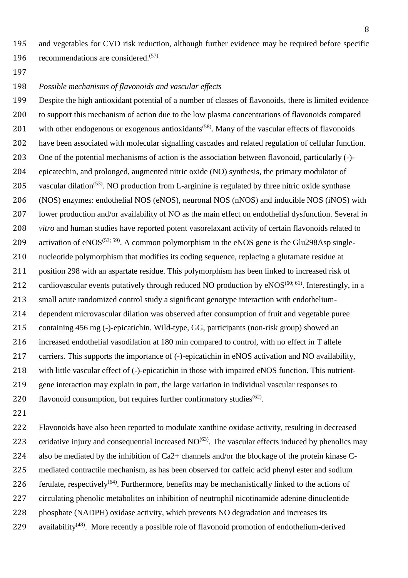and vegetables for CVD risk reduction, although further evidence may be required before specific 196 recommendations are considered. $(57)$ 

*Possible mechanisms of flavonoids and vascular effects* 

 Despite the high antioxidant potential of a number of classes of flavonoids, there is limited evidence to support this mechanism of action due to the low plasma concentrations of flavonoids compared 201 with other endogenous or exogenous antioxidants<sup> $(58)$ </sup>. Many of the vascular effects of flavonoids have been associated with molecular signalling cascades and related regulation of cellular function. One of the potential mechanisms of action is the association between flavonoid, particularly (-)- epicatechin, and prolonged, augmented nitric oxide (NO) synthesis, the primary modulator of 205 vascular dilation<sup>(53)</sup>. NO production from L-arginine is regulated by three nitric oxide synthase (NOS) enzymes: endothelial NOS (eNOS), neuronal NOS (nNOS) and inducible NOS (iNOS) with lower production and/or availability of NO as the main effect on endothelial dysfunction. Several *in vitro* and human studies have reported potent vasorelaxant activity of certain flavonoids related to 209 activation of  $eNOS^{(53; 59)}$ . A common polymorphism in the eNOS gene is the Glu298Asp single- nucleotide polymorphism that modifies its coding sequence, replacing a glutamate residue at position 298 with an aspartate residue. This polymorphism has been linked to increased risk of 212 cardiovascular events putatively through reduced NO production by  $eNOS^{(60; 61)}$ . Interestingly, in a small acute randomized control study a significant genotype interaction with endothelium- dependent microvascular dilation was observed after consumption of fruit and vegetable puree containing 456 mg (-)-epicatichin. Wild-type, GG, participants (non-risk group) showed an increased endothelial vasodilation at 180 min compared to control, with no effect in T allele carriers. This supports the importance of (-)-epicatichin in eNOS activation and NO availability, with little vascular effect of (-)-epicatichin in those with impaired eNOS function. This nutrient- gene interaction may explain in part, the large variation in individual vascular responses to 220 flavonoid consumption, but requires further confirmatory studies<sup> $(62)$ </sup>.

 Flavonoids have also been reported to modulate xanthine oxidase activity, resulting in decreased 223 oxidative injury and consequential increased  $NO<sup>(63)</sup>$ . The vascular effects induced by phenolics may also be mediated by the inhibition of Ca2+ channels and/or the blockage of the protein kinase C- mediated contractile mechanism, as has been observed for caffeic acid phenyl ester and sodium 226 ferulate, respectively<sup>(64)</sup>. Furthermore, benefits may be mechanistically linked to the actions of circulating phenolic metabolites on inhibition of neutrophil nicotinamide adenine dinucleotide 228 phosphate (NADPH) oxidase activity, which prevents NO degradation and increases its 229 availability<sup> $(48)$ </sup>. More recently a possible role of flavonoid promotion of endothelium-derived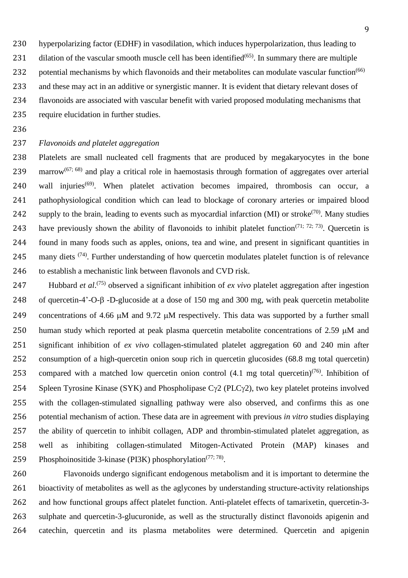hyperpolarizing factor (EDHF) in vasodilation, which induces hyperpolarization, thus leading to

231 dilation of the vascular smooth muscle cell has been identified $(65)$ . In summary there are multiple 232 potential mechanisms by which flavonoids and their metabolites can modulate vascular function<sup>(66)</sup> and these may act in an additive or synergistic manner. It is evident that dietary relevant doses of

flavonoids are associated with vascular benefit with varied proposed modulating mechanisms that

require elucidation in further studies.

# *Flavonoids and platelet aggregation*

 Platelets are small nucleated cell fragments that are produced by megakaryocytes in the bone 239 marrow<sup>(67; 68)</sup> and play a critical role in haemostasis through formation of aggregates over arterial 240 wall injuries<sup> $(69)$ </sup>. When platelet activation becomes impaired, thrombosis can occur, a pathophysiological condition which can lead to blockage of coronary arteries or impaired blood 242 supply to the brain, leading to events such as myocardial infarction (MI) or stroke<sup>(70)</sup>. Many studies 243 have previously shown the ability of flavonoids to inhibit platelet function<sup> $(71; 72; 73)$ </sup>. Quercetin is found in many foods such as apples, onions, tea and wine, and present in significant quantities in 245 many diets  $(74)$ . Further understanding of how quercetin modulates platelet function is of relevance to establish a mechanistic link between flavonols and CVD risk.

247 Hubbard *et al.*<sup>(75)</sup> observed a significant inhibition of *ex vivo* platelet aggregation after ingestion 248 of quercetin-4'-O- $\beta$ -D-glucoside at a dose of 150 mg and 300 mg, with peak quercetin metabolite 249 concentrations of 4.66  $\mu$ M and 9.72  $\mu$ M respectively. This data was supported by a further small 250 human study which reported at peak plasma quercetin metabolite concentrations of 2.59  $\mu$ M and significant inhibition of *ex vivo* collagen-stimulated platelet aggregation 60 and 240 min after consumption of a high-quercetin onion soup rich in quercetin glucosides (68.8 mg total quercetin) 253 compared with a matched low quercetin onion control  $(4.1 \text{ mg total quercetin})^{(76)}$ . Inhibition of 254 Spleen Tyrosine Kinase (SYK) and Phospholipase  $C\gamma$ 2 (PLC $\gamma$ 2), two key platelet proteins involved with the collagen-stimulated signalling pathway were also observed, and confirms this as one potential mechanism of action. These data are in agreement with previous *in vitro* studies displaying the ability of quercetin to inhibit collagen, ADP and thrombin-stimulated platelet aggregation, as well as inhibiting collagen-stimulated Mitogen-Activated Protein (MAP) kinases and 259 Phosphoinositide 3-kinase (PI3K) phosphorylation<sup> $(77, 78)$ </sup>.

 Flavonoids undergo significant endogenous metabolism and it is important to determine the bioactivity of metabolites as well as the aglycones by understanding structure-activity relationships and how functional groups affect platelet function. Anti-platelet effects of tamarixetin, quercetin-3- sulphate and quercetin-3-glucuronide, as well as the structurally distinct flavonoids apigenin and catechin, quercetin and its plasma metabolites were determined. Quercetin and apigenin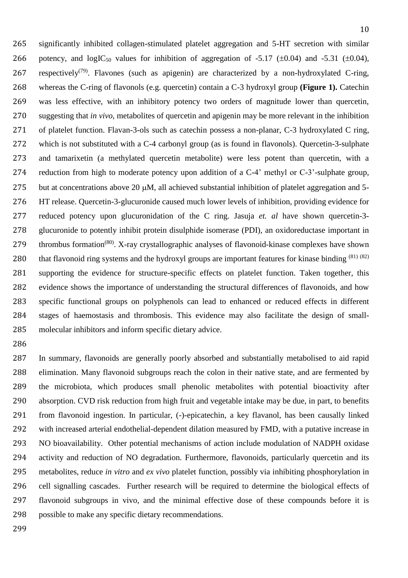significantly inhibited collagen-stimulated platelet aggregation and 5-HT secretion with similar 266 potency, and  $logIC_{50}$  values for inhibition of aggregation of -5.17 ( $\pm 0.04$ ) and -5.31 ( $\pm 0.04$ ), 267 respectively<sup>(79)</sup>. Flavones (such as apigenin) are characterized by a non-hydroxylated C-ring, whereas the C-ring of flavonols (e.g. quercetin) contain a C-3 hydroxyl group **(Figure 1).** Catechin was less effective, with an inhibitory potency two orders of magnitude lower than quercetin, suggesting that *in vivo*, metabolites of quercetin and apigenin may be more relevant in the inhibition of platelet function. Flavan-3-ols such as catechin possess a non-planar, C-3 hydroxylated C ring, which is not substituted with a C-4 carbonyl group (as is found in flavonols). Quercetin-3-sulphate and tamarixetin (a methylated quercetin metabolite) were less potent than quercetin, with a reduction from high to moderate potency upon addition of a C-4' methyl or C-3'-sulphate group, 275 but at concentrations above 20  $\mu$ M, all achieved substantial inhibition of platelet aggregation and 5- HT release. Quercetin-3-glucuronide caused much lower levels of inhibition, providing evidence for reduced potency upon glucuronidation of the C ring. Jasuja *et. al* have shown quercetin-3- glucuronide to potently inhibit protein disulphide isomerase (PDI), an oxidoreductase important in 279 thrombus formation<sup>(80)</sup>. X-ray crystallographic analyses of flavonoid-kinase complexes have shown 280 that flavonoid ring systems and the hydroxyl groups are important features for kinase binding  $(81)$   $(82)$  supporting the evidence for structure-specific effects on platelet function. Taken together, this evidence shows the importance of understanding the structural differences of flavonoids, and how specific functional groups on polyphenols can lead to enhanced or reduced effects in different stages of haemostasis and thrombosis. This evidence may also facilitate the design of small-molecular inhibitors and inform specific dietary advice.

 In summary, flavonoids are generally poorly absorbed and substantially metabolised to aid rapid elimination. Many flavonoid subgroups reach the colon in their native state, and are fermented by the microbiota, which produces small phenolic metabolites with potential bioactivity after absorption. CVD risk reduction from high fruit and vegetable intake may be due, in part, to benefits from flavonoid ingestion. In particular, (-)-epicatechin, a key flavanol, has been causally linked with increased arterial endothelial-dependent dilation measured by FMD, with a putative increase in NO bioavailability. Other potential mechanisms of action include modulation of NADPH oxidase activity and reduction of NO degradation. Furthermore, flavonoids, particularly quercetin and its metabolites, reduce *in vitro* and *ex vivo* platelet function, possibly via inhibiting phosphorylation in cell signalling cascades. Further research will be required to determine the biological effects of flavonoid subgroups in vivo, and the minimal effective dose of these compounds before it is possible to make any specific dietary recommendations.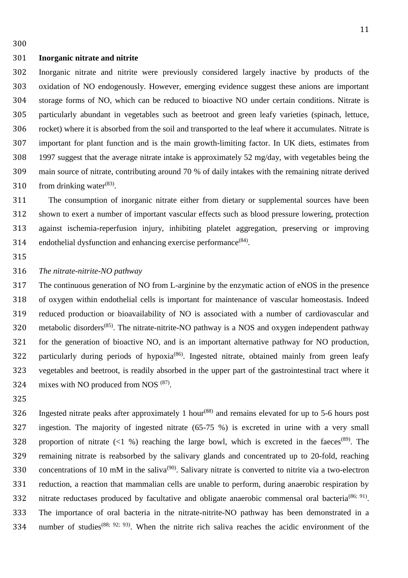#### **Inorganic nitrate and nitrite**

 Inorganic nitrate and nitrite were previously considered largely inactive by products of the oxidation of NO endogenously. However, emerging evidence suggest these anions are important storage forms of NO, which can be reduced to bioactive NO under certain conditions. Nitrate is particularly abundant in vegetables such as beetroot and green leafy varieties (spinach, lettuce, rocket) where it is absorbed from the soil and transported to the leaf where it accumulates. Nitrate is important for plant function and is the main growth-limiting factor. In UK diets, estimates from 1997 suggest that the average nitrate intake is approximately 52 mg/day, with vegetables being the main source of nitrate, contributing around 70 % of daily intakes with the remaining nitrate derived 310 from drinking water $^{(83)}$ .

 The consumption of inorganic nitrate either from dietary or supplemental sources have been shown to exert a number of important vascular effects such as blood pressure lowering, protection against ischemia-reperfusion injury, inhibiting platelet aggregation, preserving or improving 314 endothelial dysfunction and enhancing exercise performance<sup> $(84)$ </sup>.

#### *The nitrate-nitrite-NO pathway*

 The continuous generation of NO from L-arginine by the enzymatic action of eNOS in the presence of oxygen within endothelial cells is important for maintenance of vascular homeostasis. Indeed reduced production or bioavailability of NO is associated with a number of cardiovascular and 320 metabolic disorders<sup> $(85)$ </sup>. The nitrate-nitrite-NO pathway is a NOS and oxygen independent pathway for the generation of bioactive NO, and is an important alternative pathway for NO production, 322 particularly during periods of hypoxia<sup>(86)</sup>. Ingested nitrate, obtained mainly from green leafy vegetables and beetroot, is readily absorbed in the upper part of the gastrointestinal tract where it 324 mixes with NO produced from NOS  $(87)$ .

326 Ingested nitrate peaks after approximately 1 hour<sup>(88)</sup> and remains elevated for up to 5-6 hours post ingestion. The majority of ingested nitrate (65-75 %) is excreted in urine with a very small 328 proportion of nitrate  $(1\%)$  reaching the large bowl, which is excreted in the faeces<sup>(89)</sup>. The remaining nitrate is reabsorbed by the salivary glands and concentrated up to 20-fold, reaching 330 concentrations of 10 mM in the saliva<sup>(90)</sup>. Salivary nitrate is converted to nitrite via a two-electron reduction, a reaction that mammalian cells are unable to perform, during anaerobic respiration by 332 nitrate reductases produced by facultative and obligate anaerobic commensal oral bacteria<sup>(86; 91)</sup>. The importance of oral bacteria in the nitrate-nitrite-NO pathway has been demonstrated in a 334 number of studies<sup>(88; 92; 93)</sup>. When the nitrite rich saliva reaches the acidic environment of the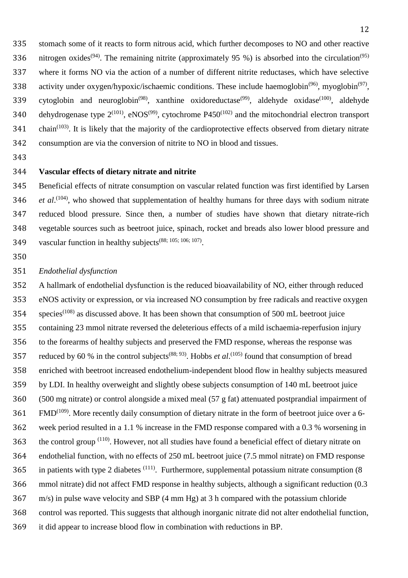- stomach some of it reacts to form nitrous acid, which further decomposes to NO and other reactive 336 nitrogen oxides<sup>(94)</sup>. The remaining nitrite (approximately 95 %) is absorbed into the circulation<sup>(95)</sup> where it forms NO via the action of a number of different nitrite reductases, which have selective 338 activity under oxygen/hypoxic/ischaemic conditions. These include haemoglobin<sup>(96)</sup>, myoglobin<sup>(97)</sup>, 339 cytoglobin and neuroglobin<sup>(98)</sup>, xanthine oxidoreductase<sup>(99)</sup>, aldehyde oxidase<sup>(100)</sup>, aldehyde 340 dehydrogenase type  $2^{(101)}$ , eNOS<sup>(99)</sup>, cytochrome P450<sup>(102)</sup> and the mitochondrial electron transport chain<sup>(103)</sup>. It is likely that the majority of the cardioprotective effects observed from dietary nitrate consumption are via the conversion of nitrite to NO in blood and tissues.
- 

## **Vascular effects of dietary nitrate and nitrite**

 Beneficial effects of nitrate consumption on vascular related function was first identified by Larsen *et al.*<sup>(104)</sup>, who showed that supplementation of healthy humans for three days with sodium nitrate reduced blood pressure. Since then, a number of studies have shown that dietary nitrate-rich vegetable sources such as beetroot juice, spinach, rocket and breads also lower blood pressure and 349 vascular function in healthy subjects<sup> $(88; 105; 106; 107)$ </sup>.

# *Endothelial dysfunction*

 A hallmark of endothelial dysfunction is the reduced bioavailability of NO, either through reduced eNOS activity or expression, or via increased NO consumption by free radicals and reactive oxygen species(108) as discussed above. It has been shown that consumption of 500 mL beetroot juice containing 23 mmol nitrate reversed the deleterious effects of a mild ischaemia-reperfusion injury to the forearms of healthy subjects and preserved the FMD response, whereas the response was 357 reduced by 60 % in the control subjects<sup>(88; 93)</sup>. Hobbs *et al*.<sup>(105)</sup> found that consumption of bread enriched with beetroot increased endothelium-independent blood flow in healthy subjects measured by LDI. In healthy overweight and slightly obese subjects consumption of 140 mL beetroot juice (500 mg nitrate) or control alongside a mixed meal (57 g fat) attenuated postprandial impairment of FMD<sup>(109)</sup>. More recently daily consumption of dietary nitrate in the form of beetroot juice over a 6- week period resulted in a 1.1 % increase in the FMD response compared with a 0.3 % worsening in 363 the control group <sup>(110)</sup>. However, not all studies have found a beneficial effect of dietary nitrate on endothelial function, with no effects of 250 mL beetroot juice (7.5 mmol nitrate) on FMD response 365 in patients with type 2 diabetes  $(111)$ . Furthermore, supplemental potassium nitrate consumption (8) mmol nitrate) did not affect FMD response in healthy subjects, although a significant reduction (0.3 m/s) in pulse wave velocity and SBP (4 mm Hg) at 3 h compared with the potassium chloride control was reported. This suggests that although inorganic nitrate did not alter endothelial function, it did appear to increase blood flow in combination with reductions in BP.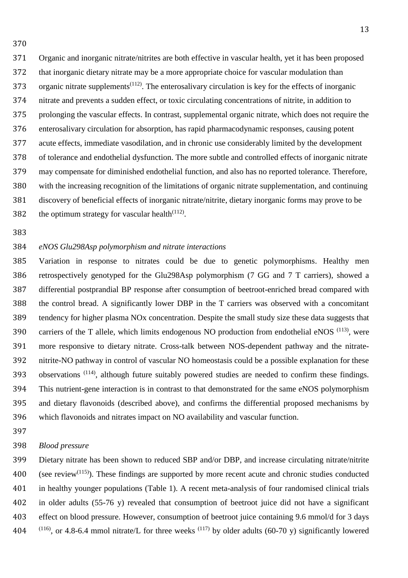Organic and inorganic nitrate/nitrites are both effective in vascular health, yet it has been proposed that inorganic dietary nitrate may be a more appropriate choice for vascular modulation than 373 organic nitrate supplements<sup> $(112)$ </sup>. The enterosalivary circulation is key for the effects of inorganic nitrate and prevents a sudden effect, or toxic circulating concentrations of nitrite, in addition to prolonging the vascular effects. In contrast, supplemental organic nitrate, which does not require the enterosalivary circulation for absorption, has rapid pharmacodynamic responses, causing potent acute effects, immediate vasodilation, and in chronic use considerably limited by the development of tolerance and endothelial dysfunction. The more subtle and controlled effects of inorganic nitrate may compensate for diminished endothelial function, and also has no reported tolerance. Therefore, with the increasing recognition of the limitations of organic nitrate supplementation, and continuing discovery of beneficial effects of inorganic nitrate/nitrite, dietary inorganic forms may prove to be 382 the optimum strategy for vascular health<sup> $(112)$ </sup>.

# *eNOS Glu298Asp polymorphism and nitrate interactions*

 Variation in response to nitrates could be due to genetic polymorphisms. Healthy men retrospectively genotyped for the Glu298Asp polymorphism (7 GG and 7 T carriers), showed a differential postprandial BP response after consumption of beetroot-enriched bread compared with the control bread. A significantly lower DBP in the T carriers was observed with a concomitant tendency for higher plasma NOx concentration. Despite the small study size these data suggests that 390 carriers of the T allele, which limits endogenous NO production from endothelial eNOS  $(113)$ , were more responsive to dietary nitrate. Cross-talk between NOS-dependent pathway and the nitrate- nitrite-NO pathway in control of vascular NO homeostasis could be a possible explanation for these 393 observations  $(114)$ , although future suitably powered studies are needed to confirm these findings. This nutrient-gene interaction is in contrast to that demonstrated for the same eNOS polymorphism and dietary flavonoids (described above), and confirms the differential proposed mechanisms by which flavonoids and nitrates impact on NO availability and vascular function.

#### *Blood pressure*

 Dietary nitrate has been shown to reduced SBP and/or DBP, and increase circulating nitrate/nitrite 400 (see review<sup>(115)</sup>). These findings are supported by more recent acute and chronic studies conducted in healthy younger populations (Table 1). A recent meta-analysis of four randomised clinical trials in older adults (55-76 y) revealed that consumption of beetroot juice did not have a significant effect on blood pressure. However, consumption of beetroot juice containing 9.6 mmol/d for 3 days  $(116)$ , or 4.8-6.4 mmol nitrate/L for three weeks  $(117)$  by older adults (60-70 y) significantly lowered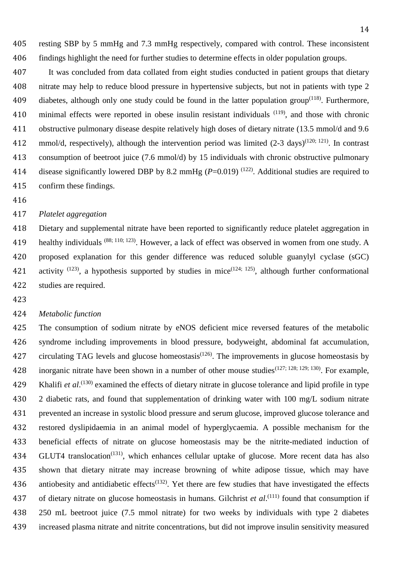resting SBP by 5 mmHg and 7.3 mmHg respectively, compared with control. These inconsistent findings highlight the need for further studies to determine effects in older population groups.

 It was concluded from data collated from eight studies conducted in patient groups that dietary nitrate may help to reduce blood pressure in hypertensive subjects, but not in patients with type 2 409 diabetes, although only one study could be found in the latter population group<sup> $(118)$ </sup>. Furthermore, 410 minimal effects were reported in obese insulin resistant individuals <sup>(119)</sup>, and those with chronic obstructive pulmonary disease despite relatively high doses of dietary nitrate (13.5 mmol/d and 9.6 412 mmol/d, respectively), although the intervention period was limited  $(2-3 \text{ days})^{(120; 121)}$ . In contrast consumption of beetroot juice (7.6 mmol/d) by 15 individuals with chronic obstructive pulmonary 414 disease significantly lowered DBP by 8.2 mmHg  $(P=0.019)$  <sup>(122)</sup>. Additional studies are required to confirm these findings.

## *Platelet aggregation*

 Dietary and supplemental nitrate have been reported to significantly reduce platelet aggregation in 419 healthy individuals (88; 110; 123). However, a lack of effect was observed in women from one study. A proposed explanation for this gender difference was reduced soluble guanylyl cyclase (sGC) 421 activity  $(123)$ , a hypothesis supported by studies in mice $(124; 125)$ , although further conformational studies are required.

# *Metabolic function*

 The consumption of sodium nitrate by eNOS deficient mice reversed features of the metabolic syndrome including improvements in blood pressure, bodyweight, abdominal fat accumulation, 427 circulating TAG levels and glucose homeostasis<sup> $(126)$ </sup>. The improvements in glucose homeostasis by 428 inorganic nitrate have been shown in a number of other mouse studies<sup>(127; 128; 129; 130)</sup>. For example, 429 Khalifi *et al*.<sup>(130)</sup> examined the effects of dietary nitrate in glucose tolerance and lipid profile in type 430 2 diabetic rats, and found that supplementation of drinking water with 100 mg/L sodium nitrate prevented an increase in systolic blood pressure and serum glucose, improved glucose tolerance and restored dyslipidaemia in an animal model of hyperglycaemia. A possible mechanism for the beneficial effects of nitrate on glucose homeostasis may be the nitrite-mediated induction of 434 GLUT4 translocation<sup>(131)</sup>, which enhances cellular uptake of glucose. More recent data has also shown that dietary nitrate may increase browning of white adipose tissue, which may have 436 antiobesity and antidiabetic effects<sup> $(132)$ </sup>. Yet there are few studies that have investigated the effects 437 of dietary nitrate on glucose homeostasis in humans. Gilchrist *et al*.<sup>(111)</sup> found that consumption if 250 mL beetroot juice (7.5 mmol nitrate) for two weeks by individuals with type 2 diabetes increased plasma nitrate and nitrite concentrations, but did not improve insulin sensitivity measured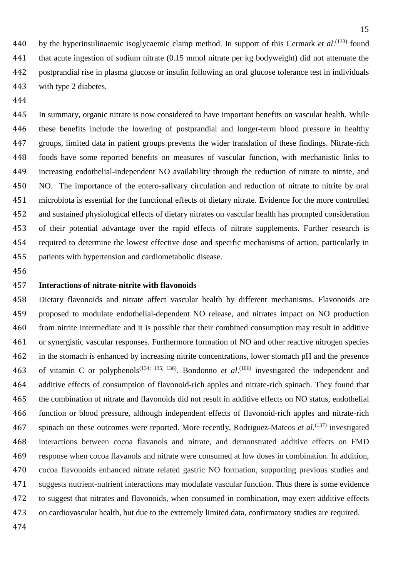440 by the hyperinsulinaemic isoglycaemic clamp method. In support of this Cermark *et al*.<sup>(133)</sup> found that acute ingestion of sodium nitrate (0.15 mmol nitrate per kg bodyweight) did not attenuate the postprandial rise in plasma glucose or insulin following an oral glucose tolerance test in individuals with type 2 diabetes.

 In summary, organic nitrate is now considered to have important benefits on vascular health. While these benefits include the lowering of postprandial and longer-term blood pressure in healthy groups, limited data in patient groups prevents the wider translation of these findings. Nitrate-rich foods have some reported benefits on measures of vascular function, with mechanistic links to increasing endothelial-independent NO availability through the reduction of nitrate to nitrite, and NO. The importance of the entero-salivary circulation and reduction of nitrate to nitrite by oral microbiota is essential for the functional effects of dietary nitrate. Evidence for the more controlled and sustained physiological effects of dietary nitrates on vascular health has prompted consideration of their potential advantage over the rapid effects of nitrate supplements. Further research is required to determine the lowest effective dose and specific mechanisms of action, particularly in patients with hypertension and cardiometabolic disease.

#### **Interactions of nitrate-nitrite with flavonoids**

 Dietary flavonoids and nitrate affect vascular health by different mechanisms. Flavonoids are proposed to modulate endothelial-dependent NO release, and nitrates impact on NO production from nitrite intermediate and it is possible that their combined consumption may result in additive or synergistic vascular responses. Furthermore formation of NO and other reactive nitrogen species in the stomach is enhanced by increasing nitrite concentrations, lower stomach pH and the presence 463 of vitamin C or polyphenols<sup>(134; 135; 136)</sup>. Bondonno *et al*.<sup>(106)</sup> investigated the independent and additive effects of consumption of flavonoid-rich apples and nitrate-rich spinach. They found that the combination of nitrate and flavonoids did not result in additive effects on NO status, endothelial function or blood pressure, although independent effects of flavonoid-rich apples and nitrate-rich 467 spinach on these outcomes were reported. More recently, Rodriguez-Mateos *et al*.<sup>(137)</sup> investigated interactions between cocoa flavanols and nitrate, and demonstrated additive effects on FMD response when cocoa flavanols and nitrate were consumed at low doses in combination. In addition, cocoa flavonoids enhanced nitrate related gastric NO formation, supporting previous studies and suggests nutrient-nutrient interactions may modulate vascular function. Thus there is some evidence to suggest that nitrates and flavonoids, when consumed in combination, may exert additive effects on cardiovascular health, but due to the extremely limited data, confirmatory studies are required.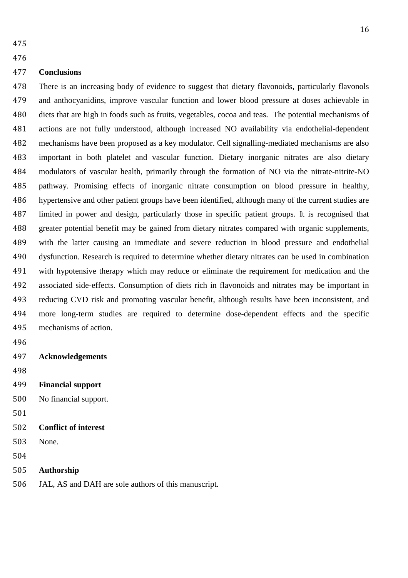#### **Conclusions**

 There is an increasing body of evidence to suggest that dietary flavonoids, particularly flavonols and anthocyanidins, improve vascular function and lower blood pressure at doses achievable in diets that are high in foods such as fruits, vegetables, cocoa and teas. The potential mechanisms of actions are not fully understood, although increased NO availability via endothelial-dependent mechanisms have been proposed as a key modulator. Cell signalling-mediated mechanisms are also important in both platelet and vascular function. Dietary inorganic nitrates are also dietary modulators of vascular health, primarily through the formation of NO via the nitrate-nitrite-NO pathway. Promising effects of inorganic nitrate consumption on blood pressure in healthy, hypertensive and other patient groups have been identified, although many of the current studies are limited in power and design, particularly those in specific patient groups. It is recognised that greater potential benefit may be gained from dietary nitrates compared with organic supplements, with the latter causing an immediate and severe reduction in blood pressure and endothelial dysfunction. Research is required to determine whether dietary nitrates can be used in combination with hypotensive therapy which may reduce or eliminate the requirement for medication and the associated side-effects. Consumption of diets rich in flavonoids and nitrates may be important in reducing CVD risk and promoting vascular benefit, although results have been inconsistent, and more long-term studies are required to determine dose-dependent effects and the specific mechanisms of action.

- 
- **Acknowledgements**
- 
- **Financial support**
- No financial support.
- 
- **Conflict of interest**
- None.
- 

```
505 Authorship
```
JAL, AS and DAH are sole authors of this manuscript.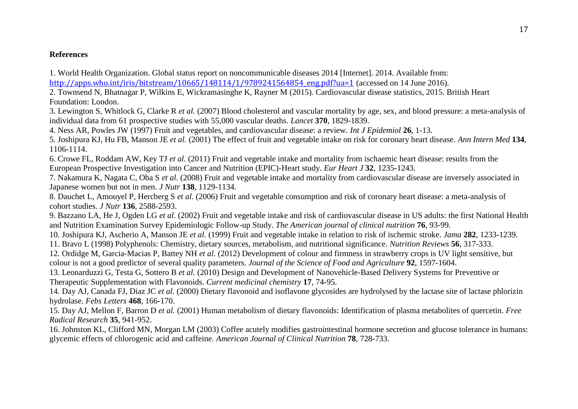## **References**

1. World Health Organization. Global status report on noncommunicable diseases 2014 [Internet]. 2014. Available from: http://apps.who.int/iris/bitstream/10665/148114/1/9789241564854 eng.pdf?ua=1 (accessed on 14 June 2016).

2. Townsend N, Bhatnagar P, Wilkins E, Wickramasinghe K, Rayner M (2015). Cardiovascular disease statistics, 2015. British Heart Foundation: London.

3. Lewington S, Whitlock G, Clarke R *et al.* (2007) Blood cholesterol and vascular mortality by age, sex, and blood pressure: a meta-analysis of individual data from 61 prospective studies with 55,000 vascular deaths. *Lancet* **370**, 1829-1839.

4. Ness AR, Powles JW (1997) Fruit and vegetables, and cardiovascular disease: a review. *Int J Epidemiol* **26**, 1-13.

5. Joshipura KJ, Hu FB, Manson JE *et al.* (2001) The effect of fruit and vegetable intake on risk for coronary heart disease. *Ann Intern Med* **134**, 1106-1114.

6. Crowe FL, Roddam AW, Key TJ *et al.* (2011) Fruit and vegetable intake and mortality from ischaemic heart disease: results from the European Prospective Investigation into Cancer and Nutrition (EPIC)-Heart study. *Eur Heart J* **32**, 1235-1243.

7. Nakamura K, Nagata C, Oba S *et al.* (2008) Fruit and vegetable intake and mortality from cardiovascular disease are inversely associated in Japanese women but not in men. *J Nutr* **138**, 1129-1134.

8. Dauchet L, Amouyel P, Hercberg S *et al.* (2006) Fruit and vegetable consumption and risk of coronary heart disease: a meta-analysis of cohort studies. *J Nutr* **136**, 2588-2593.

9. Bazzano LA, He J, Ogden LG *et al.* (2002) Fruit and vegetable intake and risk of cardiovascular disease in US adults: the first National Health and Nutrition Examination Survey Epidemiologic Follow-up Study. *The American journal of clinical nutrition* **76**, 93-99.

10. Joshipura KJ, Ascherio A, Manson JE *et al.* (1999) Fruit and vegetable intake in relation to risk of ischemic stroke. *Jama* **282**, 1233-1239.

11. Bravo L (1998) Polyphenols: Chemistry, dietary sources, metabolism, and nutritional significance. *Nutrition Reviews* **56**, 317-333.

12. Ordidge M, Garcia-Macias P, Battey NH *et al.* (2012) Development of colour and firmness in strawberry crops is UV light sensitive, but colour is not a good predictor of several quality parameters. *Journal of the Science of Food and Agriculture* **92**, 1597-1604.

13. Leonarduzzi G, Testa G, Sottero B *et al.* (2010) Design and Development of Nanovehicle-Based Delivery Systems for Preventive or Therapeutic Supplementation with Flavonoids. *Current medicinal chemistry* **17**, 74-95.

14. Day AJ, Canada FJ, Diaz JC *et al.* (2000) Dietary flavonoid and isoflavone glycosides are hydrolysed by the lactase site of lactase phlorizin hydrolase. *Febs Letters* **468**, 166-170.

15. Day AJ, Mellon F, Barron D *et al.* (2001) Human metabolism of dietary flavonoids: Identification of plasma metabolites of quercetin. *Free Radical Research* **35**, 941-952.

16. Johnston KL, Clifford MN, Morgan LM (2003) Coffee acutely modifies gastrointestinal hormone secretion and glucose tolerance in humans: glycemic effects of chlorogenic acid and caffeine. *American Journal of Clinical Nutrition* **78**, 728-733.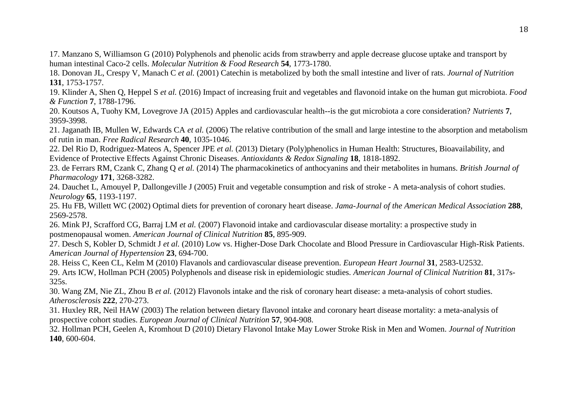17. Manzano S, Williamson G (2010) Polyphenols and phenolic acids from strawberry and apple decrease glucose uptake and transport by human intestinal Caco-2 cells. *Molecular Nutrition & Food Research* **54**, 1773-1780.

18. Donovan JL, Crespy V, Manach C *et al.* (2001) Catechin is metabolized by both the small intestine and liver of rats. *Journal of Nutrition* **131**, 1753-1757.

19. Klinder A, Shen Q, Heppel S *et al.* (2016) Impact of increasing fruit and vegetables and flavonoid intake on the human gut microbiota. *Food & Function* **7**, 1788-1796.

20. Koutsos A, Tuohy KM, Lovegrove JA (2015) Apples and cardiovascular health--is the gut microbiota a core consideration? *Nutrients* **7**, 3959-3998.

21. Jaganath IB, Mullen W, Edwards CA *et al.* (2006) The relative contribution of the small and large intestine to the absorption and metabolism of rutin in man. *Free Radical Research* **40**, 1035-1046.

22. Del Rio D, Rodriguez-Mateos A, Spencer JPE *et al.* (2013) Dietary (Poly)phenolics in Human Health: Structures, Bioavailability, and Evidence of Protective Effects Against Chronic Diseases. *Antioxidants & Redox Signaling* **18**, 1818-1892.

23. de Ferrars RM, Czank C, Zhang Q *et al.* (2014) The pharmacokinetics of anthocyanins and their metabolites in humans. *British Journal of Pharmacology* **171**, 3268-3282.

24. Dauchet L, Amouyel P, Dallongeville J (2005) Fruit and vegetable consumption and risk of stroke - A meta-analysis of cohort studies. *Neurology* **65**, 1193-1197.

25. Hu FB, Willett WC (2002) Optimal diets for prevention of coronary heart disease. *Jama-Journal of the American Medical Association* **288**, 2569-2578.

26. Mink PJ, Scrafford CG, Barraj LM *et al.* (2007) Flavonoid intake and cardiovascular disease mortality: a prospective study in postmenopausal women. *American Journal of Clinical Nutrition* **85**, 895-909.

27. Desch S, Kobler D, Schmidt J *et al.* (2010) Low vs. Higher-Dose Dark Chocolate and Blood Pressure in Cardiovascular High-Risk Patients. *American Journal of Hypertension* **23**, 694-700.

28. Heiss C, Keen CL, Kelm M (2010) Flavanols and cardiovascular disease prevention. *European Heart Journal* **31**, 2583-U2532.

29. Arts ICW, Hollman PCH (2005) Polyphenols and disease risk in epidemiologic studies. *American Journal of Clinical Nutrition* **81**, 317s-325s.

30. Wang ZM, Nie ZL, Zhou B *et al.* (2012) Flavonols intake and the risk of coronary heart disease: a meta-analysis of cohort studies. *Atherosclerosis* **222**, 270-273.

31. Huxley RR, Neil HAW (2003) The relation between dietary flavonol intake and coronary heart disease mortality: a meta-analysis of prospective cohort studies. *European Journal of Clinical Nutrition* **57**, 904-908.

32. Hollman PCH, Geelen A, Kromhout D (2010) Dietary Flavonol Intake May Lower Stroke Risk in Men and Women. *Journal of Nutrition* **140**, 600-604.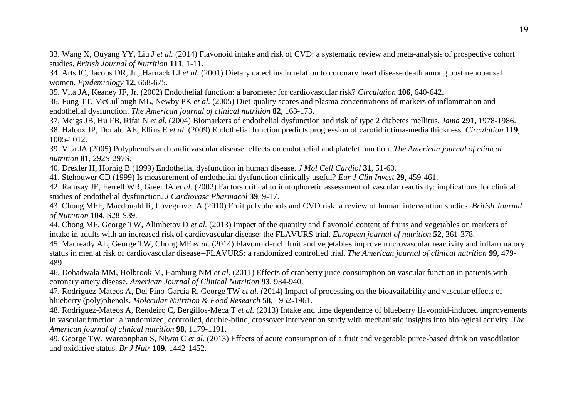33. Wang X, Ouyang YY, Liu J *et al.* (2014) Flavonoid intake and risk of CVD: a systematic review and meta-analysis of prospective cohort studies. *British Journal of Nutrition* **111**, 1-11.

34. Arts IC, Jacobs DR, Jr., Harnack LJ *et al.* (2001) Dietary catechins in relation to coronary heart disease death among postmenopausal women. *Epidemiology* **12**, 668-675.

35. Vita JA, Keaney JF, Jr. (2002) Endothelial function: a barometer for cardiovascular risk? *Circulation* **106**, 640-642.

36. Fung TT, McCullough ML, Newby PK *et al.* (2005) Diet-quality scores and plasma concentrations of markers of inflammation and endothelial dysfunction. *The American journal of clinical nutrition* **82**, 163-173.

37. Meigs JB, Hu FB, Rifai N *et al.* (2004) Biomarkers of endothelial dysfunction and risk of type 2 diabetes mellitus. *Jama* **291**, 1978-1986. 38. Halcox JP, Donald AE, Ellins E *et al.* (2009) Endothelial function predicts progression of carotid intima-media thickness. *Circulation* **119**, 1005-1012.

39. Vita JA (2005) Polyphenols and cardiovascular disease: effects on endothelial and platelet function. *The American journal of clinical nutrition* **81**, 292S-297S.

40. Drexler H, Hornig B (1999) Endothelial dysfunction in human disease. *J Mol Cell Cardiol* **31**, 51-60.

41. Stehouwer CD (1999) Is measurement of endothelial dysfunction clinically useful? *Eur J Clin Invest* **29**, 459-461.

42. Ramsay JE, Ferrell WR, Greer IA *et al.* (2002) Factors critical to iontophoretic assessment of vascular reactivity: implications for clinical studies of endothelial dysfunction. *J Cardiovasc Pharmacol* **39**, 9-17.

43. Chong MFF, Macdonald R, Lovegrove JA (2010) Fruit polyphenols and CVD risk: a review of human intervention studies. *British Journal of Nutrition* **104**, S28-S39.

44. Chong MF, George TW, Alimbetov D *et al.* (2013) Impact of the quantity and flavonoid content of fruits and vegetables on markers of intake in adults with an increased risk of cardiovascular disease: the FLAVURS trial. *European journal of nutrition* **52**, 361-378.

45. Macready AL, George TW, Chong MF *et al.* (2014) Flavonoid-rich fruit and vegetables improve microvascular reactivity and inflammatory status in men at risk of cardiovascular disease--FLAVURS: a randomized controlled trial. *The American journal of clinical nutrition* **99**, 479- 489.

46. Dohadwala MM, Holbrook M, Hamburg NM *et al.* (2011) Effects of cranberry juice consumption on vascular function in patients with coronary artery disease. *American Journal of Clinical Nutrition* **93**, 934-940.

47. Rodriguez-Mateos A, Del Pino-Garcia R, George TW *et al.* (2014) Impact of processing on the bioavailability and vascular effects of blueberry (poly)phenols. *Molecular Nutrition & Food Research* **58**, 1952-1961.

48. Rodriguez-Mateos A, Rendeiro C, Bergillos-Meca T *et al.* (2013) Intake and time dependence of blueberry flavonoid-induced improvements in vascular function: a randomized, controlled, double-blind, crossover intervention study with mechanistic insights into biological activity. *The American journal of clinical nutrition* **98**, 1179-1191.

49. George TW, Waroonphan S, Niwat C *et al.* (2013) Effects of acute consumption of a fruit and vegetable puree-based drink on vasodilation and oxidative status. *Br J Nutr* **109**, 1442-1452.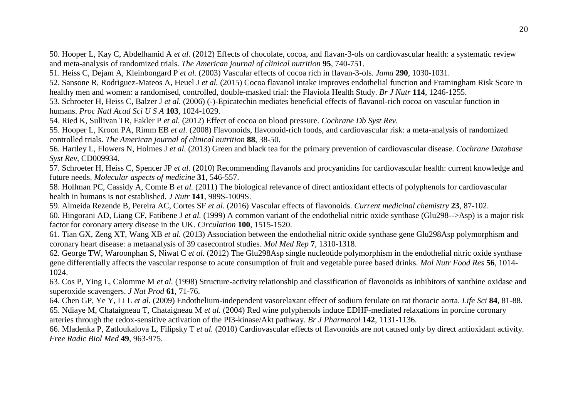50. Hooper L, Kay C, Abdelhamid A *et al.* (2012) Effects of chocolate, cocoa, and flavan-3-ols on cardiovascular health: a systematic review and meta-analysis of randomized trials. *The American journal of clinical nutrition* **95**, 740-751.

51. Heiss C, Dejam A, Kleinbongard P *et al.* (2003) Vascular effects of cocoa rich in flavan-3-ols. *Jama* **290**, 1030-1031.

52. Sansone R, Rodriguez-Mateos A, Heuel J *et al.* (2015) Cocoa flavanol intake improves endothelial function and Framingham Risk Score in healthy men and women: a randomised, controlled, double-masked trial: the Flaviola Health Study. *Br J Nutr* **114**, 1246-1255.

53. Schroeter H, Heiss C, Balzer J *et al.* (2006) (-)-Epicatechin mediates beneficial effects of flavanol-rich cocoa on vascular function in humans. *Proc Natl Acad Sci U S A* **103**, 1024-1029.

54. Ried K, Sullivan TR, Fakler P *et al.* (2012) Effect of cocoa on blood pressure. *Cochrane Db Syst Rev*.

55. Hooper L, Kroon PA, Rimm EB *et al.* (2008) Flavonoids, flavonoid-rich foods, and cardiovascular risk: a meta-analysis of randomized controlled trials. *The American journal of clinical nutrition* **88**, 38-50.

56. Hartley L, Flowers N, Holmes J *et al.* (2013) Green and black tea for the primary prevention of cardiovascular disease. *Cochrane Database Syst Rev*, CD009934.

57. Schroeter H, Heiss C, Spencer JP *et al.* (2010) Recommending flavanols and procyanidins for cardiovascular health: current knowledge and future needs. *Molecular aspects of medicine* **31**, 546-557.

58. Hollman PC, Cassidy A, Comte B *et al.* (2011) The biological relevance of direct antioxidant effects of polyphenols for cardiovascular health in humans is not established. *J Nutr* **141**, 989S-1009S.

59. Almeida Rezende B, Pereira AC, Cortes SF *et al.* (2016) Vascular effects of flavonoids. *Current medicinal chemistry* **23**, 87-102. 60. Hingorani AD, Liang CF, Fatibene J *et al.* (1999) A common variant of the endothelial nitric oxide synthase (Glu298-->Asp) is a major risk factor for coronary artery disease in the UK. *Circulation* **100**, 1515-1520.

61. Tian GX, Zeng XT, Wang XB *et al.* (2013) Association between the endothelial nitric oxide synthase gene Glu298Asp polymorphism and coronary heart disease: a metaanalysis of 39 casecontrol studies. *Mol Med Rep* **7**, 1310-1318.

62. George TW, Waroonphan S, Niwat C *et al.* (2012) The Glu298Asp single nucleotide polymorphism in the endothelial nitric oxide synthase gene differentially affects the vascular response to acute consumption of fruit and vegetable puree based drinks. *Mol Nutr Food Res* **56**, 1014- 1024.

63. Cos P, Ying L, Calomme M *et al.* (1998) Structure-activity relationship and classification of flavonoids as inhibitors of xanthine oxidase and superoxide scavengers. *J Nat Prod* **61**, 71-76.

64. Chen GP, Ye Y, Li L *et al.* (2009) Endothelium-independent vasorelaxant effect of sodium ferulate on rat thoracic aorta. *Life Sci* **84**, 81-88. 65. Ndiaye M, Chataigneau T, Chataigneau M *et al.* (2004) Red wine polyphenols induce EDHF-mediated relaxations in porcine coronary arteries through the redox-sensitive activation of the PI3-kinase/Akt pathway. *Br J Pharmacol* **142**, 1131-1136.

66. Mladenka P, Zatloukalova L, Filipsky T *et al.* (2010) Cardiovascular effects of flavonoids are not caused only by direct antioxidant activity. *Free Radic Biol Med* **49**, 963-975.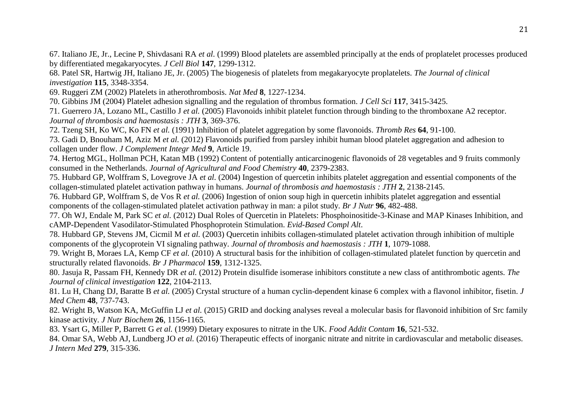67. Italiano JE, Jr., Lecine P, Shivdasani RA *et al.* (1999) Blood platelets are assembled principally at the ends of proplatelet processes produced by differentiated megakaryocytes. *J Cell Biol* **147**, 1299-1312.

68. Patel SR, Hartwig JH, Italiano JE, Jr. (2005) The biogenesis of platelets from megakaryocyte proplatelets. *The Journal of clinical investigation* **115**, 3348-3354.

69. Ruggeri ZM (2002) Platelets in atherothrombosis. *Nat Med* **8**, 1227-1234.

70. Gibbins JM (2004) Platelet adhesion signalling and the regulation of thrombus formation. *J Cell Sci* **117**, 3415-3425.

71. Guerrero JA, Lozano ML, Castillo J *et al.* (2005) Flavonoids inhibit platelet function through binding to the thromboxane A2 receptor. *Journal of thrombosis and haemostasis : JTH* **3**, 369-376.

72. Tzeng SH, Ko WC, Ko FN *et al.* (1991) Inhibition of platelet aggregation by some flavonoids. *Thromb Res* **64**, 91-100.

73. Gadi D, Bnouham M, Aziz M *et al.* (2012) Flavonoids purified from parsley inhibit human blood platelet aggregation and adhesion to collagen under flow. *J Complement Integr Med* **9**, Article 19.

74. Hertog MGL, Hollman PCH, Katan MB (1992) Content of potentially anticarcinogenic flavonoids of 28 vegetables and 9 fruits commonly consumed in the Netherlands. *Journal of Agricultural and Food Chemistry* **40**, 2379-2383.

75. Hubbard GP, Wolffram S, Lovegrove JA *et al.* (2004) Ingestion of quercetin inhibits platelet aggregation and essential components of the collagen-stimulated platelet activation pathway in humans. *Journal of thrombosis and haemostasis : JTH* **2**, 2138-2145.

76. Hubbard GP, Wolffram S, de Vos R *et al.* (2006) Ingestion of onion soup high in quercetin inhibits platelet aggregation and essential components of the collagen-stimulated platelet activation pathway in man: a pilot study. *Br J Nutr* **96**, 482-488.

77. Oh WJ, Endale M, Park SC *et al.* (2012) Dual Roles of Quercetin in Platelets: Phosphoinositide-3-Kinase and MAP Kinases Inhibition, and cAMP-Dependent Vasodilator-Stimulated Phosphoprotein Stimulation. *Evid-Based Compl Alt*.

78. Hubbard GP, Stevens JM, Cicmil M *et al.* (2003) Quercetin inhibits collagen-stimulated platelet activation through inhibition of multiple components of the glycoprotein VI signaling pathway. *Journal of thrombosis and haemostasis : JTH* **1**, 1079-1088.

79. Wright B, Moraes LA, Kemp CF *et al.* (2010) A structural basis for the inhibition of collagen-stimulated platelet function by quercetin and structurally related flavonoids. *Br J Pharmacol* **159**, 1312-1325.

80. Jasuja R, Passam FH, Kennedy DR *et al.* (2012) Protein disulfide isomerase inhibitors constitute a new class of antithrombotic agents. *The Journal of clinical investigation* **122**, 2104-2113.

81. Lu H, Chang DJ, Baratte B *et al.* (2005) Crystal structure of a human cyclin-dependent kinase 6 complex with a flavonol inhibitor, fisetin. *J Med Chem* **48**, 737-743.

82. Wright B, Watson KA, McGuffin LJ *et al.* (2015) GRID and docking analyses reveal a molecular basis for flavonoid inhibition of Src family kinase activity. *J Nutr Biochem* **26**, 1156-1165.

83. Ysart G, Miller P, Barrett G *et al.* (1999) Dietary exposures to nitrate in the UK. *Food Addit Contam* **16**, 521-532.

84. Omar SA, Webb AJ, Lundberg JO *et al.* (2016) Therapeutic effects of inorganic nitrate and nitrite in cardiovascular and metabolic diseases. *J Intern Med* **279**, 315-336.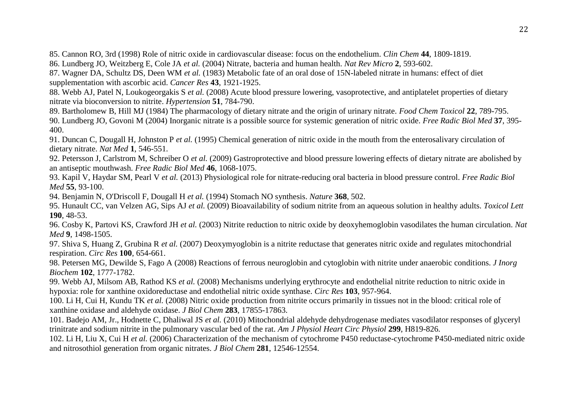85. Cannon RO, 3rd (1998) Role of nitric oxide in cardiovascular disease: focus on the endothelium. *Clin Chem* **44**, 1809-1819.

86. Lundberg JO, Weitzberg E, Cole JA *et al.* (2004) Nitrate, bacteria and human health. *Nat Rev Micro* **2**, 593-602.

87. Wagner DA, Schultz DS, Deen WM *et al.* (1983) Metabolic fate of an oral dose of 15N-labeled nitrate in humans: effect of diet supplementation with ascorbic acid. *Cancer Res* **43**, 1921-1925.

88. Webb AJ, Patel N, Loukogeorgakis S *et al.* (2008) Acute blood pressure lowering, vasoprotective, and antiplatelet properties of dietary nitrate via bioconversion to nitrite. *Hypertension* **51**, 784-790.

89. Bartholomew B, Hill MJ (1984) The pharmacology of dietary nitrate and the origin of urinary nitrate. *Food Chem Toxicol* **22**, 789-795. 90. Lundberg JO, Govoni M (2004) Inorganic nitrate is a possible source for systemic generation of nitric oxide. *Free Radic Biol Med* **37**, 395-

400.

91. Duncan C, Dougall H, Johnston P *et al.* (1995) Chemical generation of nitric oxide in the mouth from the enterosalivary circulation of dietary nitrate. *Nat Med* **1**, 546-551.

92. Petersson J, Carlstrom M, Schreiber O *et al.* (2009) Gastroprotective and blood pressure lowering effects of dietary nitrate are abolished by an antiseptic mouthwash. *Free Radic Biol Med* **46**, 1068-1075.

93. Kapil V, Haydar SM, Pearl V *et al.* (2013) Physiological role for nitrate-reducing oral bacteria in blood pressure control. *Free Radic Biol Med* **55**, 93-100.

94. Benjamin N, O'Driscoll F, Dougall H *et al.* (1994) Stomach NO synthesis. *Nature* **368**, 502.

95. Hunault CC, van Velzen AG, Sips AJ *et al.* (2009) Bioavailability of sodium nitrite from an aqueous solution in healthy adults. *Toxicol Lett* **190**, 48-53.

96. Cosby K, Partovi KS, Crawford JH *et al.* (2003) Nitrite reduction to nitric oxide by deoxyhemoglobin vasodilates the human circulation. *Nat Med* **9**, 1498-1505.

97. Shiva S, Huang Z, Grubina R *et al.* (2007) Deoxymyoglobin is a nitrite reductase that generates nitric oxide and regulates mitochondrial respiration. *Circ Res* **100**, 654-661.

98. Petersen MG, Dewilde S, Fago A (2008) Reactions of ferrous neuroglobin and cytoglobin with nitrite under anaerobic conditions. *J Inorg Biochem* **102**, 1777-1782.

99. Webb AJ, Milsom AB, Rathod KS *et al.* (2008) Mechanisms underlying erythrocyte and endothelial nitrite reduction to nitric oxide in hypoxia: role for xanthine oxidoreductase and endothelial nitric oxide synthase. *Circ Res* **103**, 957-964.

100. Li H, Cui H, Kundu TK *et al.* (2008) Nitric oxide production from nitrite occurs primarily in tissues not in the blood: critical role of xanthine oxidase and aldehyde oxidase. *J Biol Chem* **283**, 17855-17863.

101. Badejo AM, Jr., Hodnette C, Dhaliwal JS *et al.* (2010) Mitochondrial aldehyde dehydrogenase mediates vasodilator responses of glyceryl trinitrate and sodium nitrite in the pulmonary vascular bed of the rat. *Am J Physiol Heart Circ Physiol* **299**, H819-826.

102. Li H, Liu X, Cui H *et al.* (2006) Characterization of the mechanism of cytochrome P450 reductase-cytochrome P450-mediated nitric oxide and nitrosothiol generation from organic nitrates. *J Biol Chem* **281**, 12546-12554.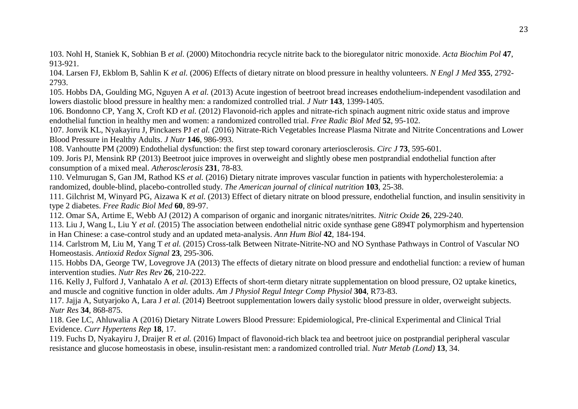103. Nohl H, Staniek K, Sobhian B *et al.* (2000) Mitochondria recycle nitrite back to the bioregulator nitric monoxide. *Acta Biochim Pol* **47**, 913-921.

104. Larsen FJ, Ekblom B, Sahlin K *et al.* (2006) Effects of dietary nitrate on blood pressure in healthy volunteers. *N Engl J Med* **355**, 2792- 2793.

105. Hobbs DA, Goulding MG, Nguyen A *et al.* (2013) Acute ingestion of beetroot bread increases endothelium-independent vasodilation and lowers diastolic blood pressure in healthy men: a randomized controlled trial. *J Nutr* **143**, 1399-1405.

106. Bondonno CP, Yang X, Croft KD *et al.* (2012) Flavonoid-rich apples and nitrate-rich spinach augment nitric oxide status and improve endothelial function in healthy men and women: a randomized controlled trial. *Free Radic Biol Med* **52**, 95-102.

107. Jonvik KL, Nyakayiru J, Pinckaers PJ *et al.* (2016) Nitrate-Rich Vegetables Increase Plasma Nitrate and Nitrite Concentrations and Lower Blood Pressure in Healthy Adults. *J Nutr* **146**, 986-993.

108. Vanhoutte PM (2009) Endothelial dysfunction: the first step toward coronary arteriosclerosis. *Circ J* **73**, 595-601.

109. Joris PJ, Mensink RP (2013) Beetroot juice improves in overweight and slightly obese men postprandial endothelial function after consumption of a mixed meal. *Atherosclerosis* **231**, 78-83.

110. Velmurugan S, Gan JM, Rathod KS *et al.* (2016) Dietary nitrate improves vascular function in patients with hypercholesterolemia: a randomized, double-blind, placebo-controlled study. *The American journal of clinical nutrition* **103**, 25-38.

111. Gilchrist M, Winyard PG, Aizawa K *et al.* (2013) Effect of dietary nitrate on blood pressure, endothelial function, and insulin sensitivity in type 2 diabetes. *Free Radic Biol Med* **60**, 89-97.

112. Omar SA, Artime E, Webb AJ (2012) A comparison of organic and inorganic nitrates/nitrites. *Nitric Oxide* **26**, 229-240.

113. Liu J, Wang L, Liu Y *et al.* (2015) The association between endothelial nitric oxide synthase gene G894T polymorphism and hypertension in Han Chinese: a case-control study and an updated meta-analysis. *Ann Hum Biol* **42**, 184-194.

114. Carlstrom M, Liu M, Yang T *et al.* (2015) Cross-talk Between Nitrate-Nitrite-NO and NO Synthase Pathways in Control of Vascular NO Homeostasis. *Antioxid Redox Signal* **23**, 295-306.

115. Hobbs DA, George TW, Lovegrove JA (2013) The effects of dietary nitrate on blood pressure and endothelial function: a review of human intervention studies. *Nutr Res Rev* **26**, 210-222.

116. Kelly J, Fulford J, Vanhatalo A *et al.* (2013) Effects of short-term dietary nitrate supplementation on blood pressure, O2 uptake kinetics, and muscle and cognitive function in older adults. *Am J Physiol Regul Integr Comp Physiol* **304**, R73-83.

117. Jajja A, Sutyarjoko A, Lara J *et al.* (2014) Beetroot supplementation lowers daily systolic blood pressure in older, overweight subjects. *Nutr Res* **34**, 868-875.

118. Gee LC, Ahluwalia A (2016) Dietary Nitrate Lowers Blood Pressure: Epidemiological, Pre-clinical Experimental and Clinical Trial Evidence. *Curr Hypertens Rep* **18**, 17.

119. Fuchs D, Nyakayiru J, Draijer R *et al.* (2016) Impact of flavonoid-rich black tea and beetroot juice on postprandial peripheral vascular resistance and glucose homeostasis in obese, insulin-resistant men: a randomized controlled trial. *Nutr Metab (Lond)* **13**, 34.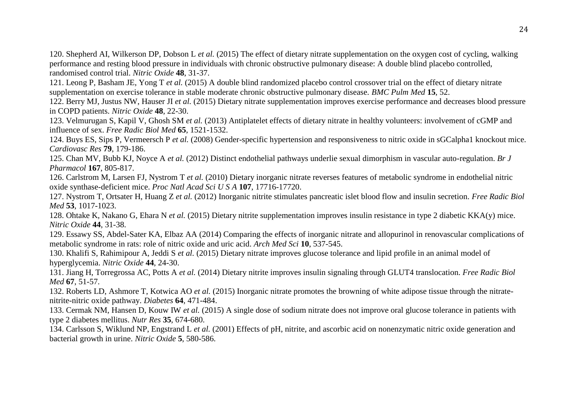120. Shepherd AI, Wilkerson DP, Dobson L *et al.* (2015) The effect of dietary nitrate supplementation on the oxygen cost of cycling, walking performance and resting blood pressure in individuals with chronic obstructive pulmonary disease: A double blind placebo controlled, randomised control trial. *Nitric Oxide* **48**, 31-37.

121. Leong P, Basham JE, Yong T *et al.* (2015) A double blind randomized placebo control crossover trial on the effect of dietary nitrate supplementation on exercise tolerance in stable moderate chronic obstructive pulmonary disease. *BMC Pulm Med* **15**, 52.

122. Berry MJ, Justus NW, Hauser JI *et al.* (2015) Dietary nitrate supplementation improves exercise performance and decreases blood pressure in COPD patients. *Nitric Oxide* **48**, 22-30.

123. Velmurugan S, Kapil V, Ghosh SM *et al.* (2013) Antiplatelet effects of dietary nitrate in healthy volunteers: involvement of cGMP and influence of sex. *Free Radic Biol Med* **65**, 1521-1532.

124. Buys ES, Sips P, Vermeersch P *et al.* (2008) Gender-specific hypertension and responsiveness to nitric oxide in sGCalpha1 knockout mice. *Cardiovasc Res* **79**, 179-186.

125. Chan MV, Bubb KJ, Noyce A *et al.* (2012) Distinct endothelial pathways underlie sexual dimorphism in vascular auto-regulation. *Br J Pharmacol* **167**, 805-817.

126. Carlstrom M, Larsen FJ, Nystrom T *et al.* (2010) Dietary inorganic nitrate reverses features of metabolic syndrome in endothelial nitric oxide synthase-deficient mice. *Proc Natl Acad Sci U S A* **107**, 17716-17720.

127. Nystrom T, Ortsater H, Huang Z *et al.* (2012) Inorganic nitrite stimulates pancreatic islet blood flow and insulin secretion. *Free Radic Biol Med* **53**, 1017-1023.

128. Ohtake K, Nakano G, Ehara N *et al.* (2015) Dietary nitrite supplementation improves insulin resistance in type 2 diabetic KKA(y) mice. *Nitric Oxide* **44**, 31-38.

129. Essawy SS, Abdel-Sater KA, Elbaz AA (2014) Comparing the effects of inorganic nitrate and allopurinol in renovascular complications of metabolic syndrome in rats: role of nitric oxide and uric acid. *Arch Med Sci* **10**, 537-545.

130. Khalifi S, Rahimipour A, Jeddi S *et al.* (2015) Dietary nitrate improves glucose tolerance and lipid profile in an animal model of hyperglycemia. *Nitric Oxide* **44**, 24-30.

131. Jiang H, Torregrossa AC, Potts A *et al.* (2014) Dietary nitrite improves insulin signaling through GLUT4 translocation. *Free Radic Biol Med* **67**, 51-57.

132. Roberts LD, Ashmore T, Kotwica AO *et al.* (2015) Inorganic nitrate promotes the browning of white adipose tissue through the nitratenitrite-nitric oxide pathway. *Diabetes* **64**, 471-484.

133. Cermak NM, Hansen D, Kouw IW *et al.* (2015) A single dose of sodium nitrate does not improve oral glucose tolerance in patients with type 2 diabetes mellitus. *Nutr Res* **35**, 674-680.

134. Carlsson S, Wiklund NP, Engstrand L *et al.* (2001) Effects of pH, nitrite, and ascorbic acid on nonenzymatic nitric oxide generation and bacterial growth in urine. *Nitric Oxide* **5**, 580-586.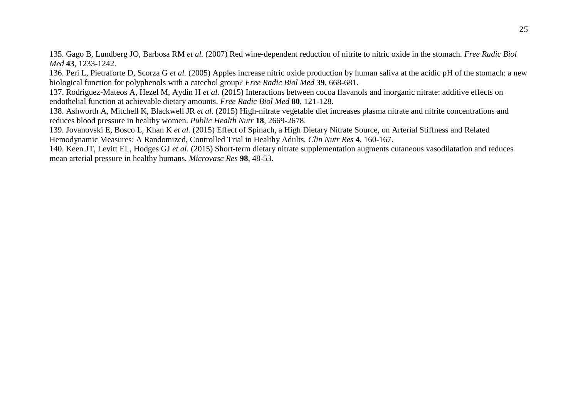135. Gago B, Lundberg JO, Barbosa RM *et al.* (2007) Red wine-dependent reduction of nitrite to nitric oxide in the stomach. *Free Radic Biol Med* **43**, 1233-1242.

136. Peri L, Pietraforte D, Scorza G *et al.* (2005) Apples increase nitric oxide production by human saliva at the acidic pH of the stomach: a new biological function for polyphenols with a catechol group? *Free Radic Biol Med* **39**, 668-681.

137. Rodriguez-Mateos A, Hezel M, Aydin H *et al.* (2015) Interactions between cocoa flavanols and inorganic nitrate: additive effects on endothelial function at achievable dietary amounts. *Free Radic Biol Med* **80**, 121-128.

138. Ashworth A, Mitchell K, Blackwell JR *et al.* (2015) High-nitrate vegetable diet increases plasma nitrate and nitrite concentrations and reduces blood pressure in healthy women. *Public Health Nutr* **18**, 2669-2678.

139. Jovanovski E, Bosco L, Khan K *et al.* (2015) Effect of Spinach, a High Dietary Nitrate Source, on Arterial Stiffness and Related Hemodynamic Measures: A Randomized, Controlled Trial in Healthy Adults. *Clin Nutr Res* **4**, 160-167.

140. Keen JT, Levitt EL, Hodges GJ *et al.* (2015) Short-term dietary nitrate supplementation augments cutaneous vasodilatation and reduces mean arterial pressure in healthy humans. *Microvasc Res* **98**, 48-53.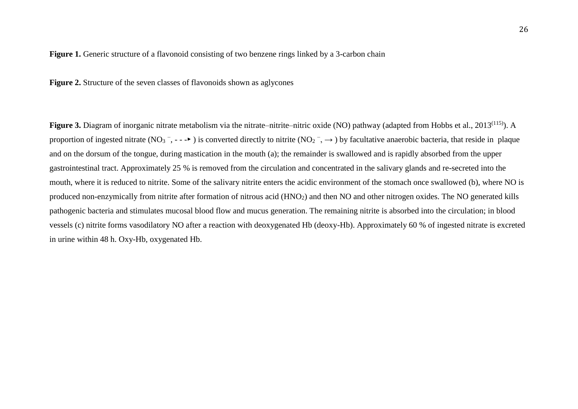#### Figure 1. Generic structure of a flavonoid consisting of two benzene rings linked by a 3-carbon chain

**Figure 2.** Structure of the seven classes of flavonoids shown as aglycones

Figure 3. Diagram of inorganic nitrate metabolism via the nitrate–nitric-nitric oxide (NO) pathway (adapted from Hobbs et al., 2013<sup>(115)</sup>). A proportion of ingested nitrate (NO<sub>3</sub><sup>-</sup>, ---►) is converted directly to nitrite (NO<sub>2</sub><sup>-</sup>, →) by facultative anaerobic bacteria, that reside in plaque and on the dorsum of the tongue, during mastication in the mouth (a); the remainder is swallowed and is rapidly absorbed from the upper gastrointestinal tract. Approximately 25 % is removed from the circulation and concentrated in the salivary glands and re-secreted into the mouth, where it is reduced to nitrite. Some of the salivary nitrite enters the acidic environment of the stomach once swallowed (b), where NO is produced non-enzymically from nitrite after formation of nitrous acid (HNO<sub>2</sub>) and then NO and other nitrogen oxides. The NO generated kills pathogenic bacteria and stimulates mucosal blood flow and mucus generation. The remaining nitrite is absorbed into the circulation; in blood vessels (c) nitrite forms vasodilatory NO after a reaction with deoxygenated Hb (deoxy-Hb). Approximately 60 % of ingested nitrate is excreted in urine within 48 h. Oxy-Hb, oxygenated Hb.